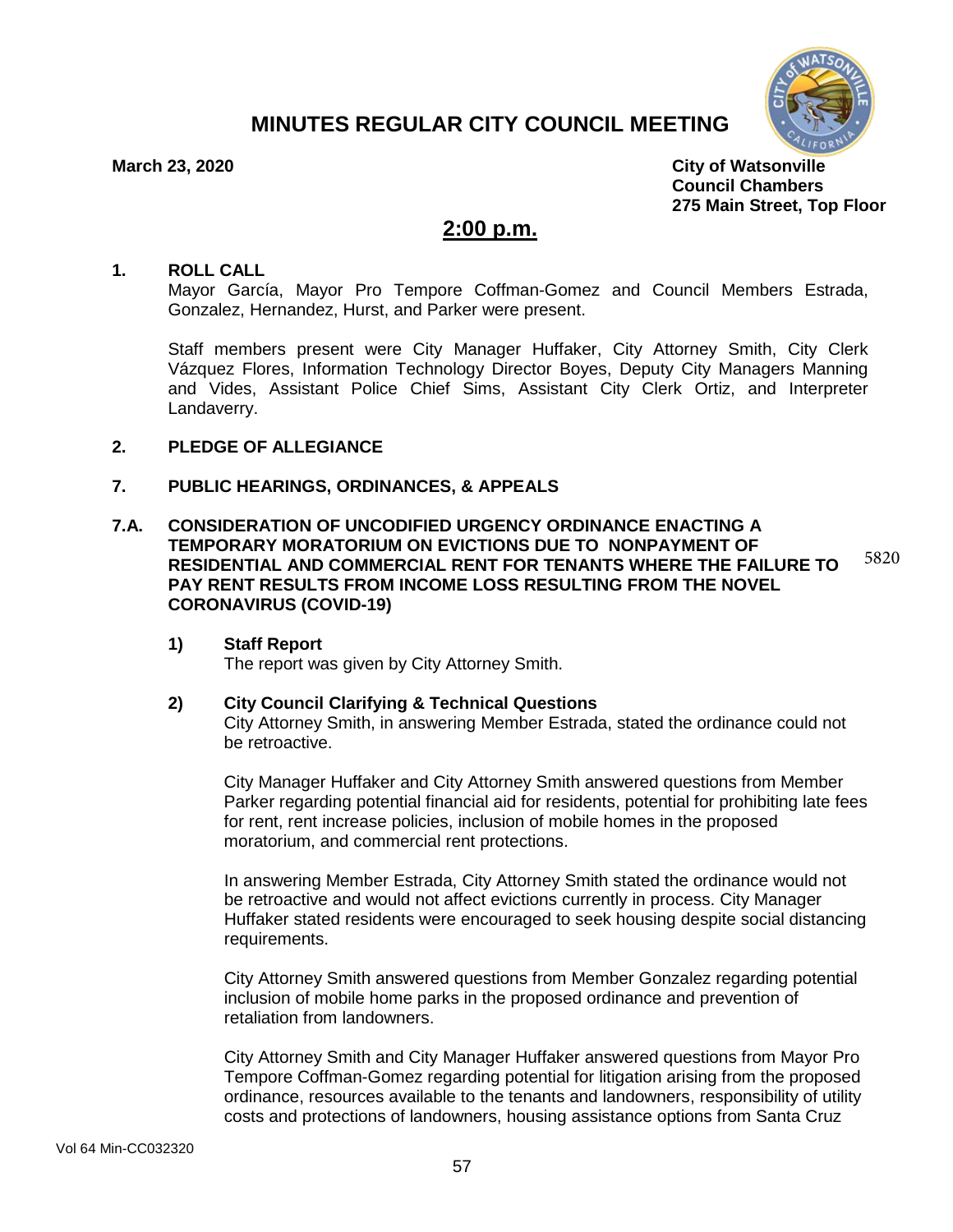# **MINUTES REGULAR CITY COUNCIL MEETING**



**March 23, 2020 City of Watsonville Council Chambers 275 Main Street, Top Floor**

# **2:00 p.m.**

#### **1. ROLL CALL**

Mayor García, Mayor Pro Tempore Coffman-Gomez and Council Members Estrada, Gonzalez, Hernandez, Hurst, and Parker were present.

Staff members present were City Manager Huffaker, City Attorney Smith, City Clerk Vázquez Flores, Information Technology Director Boyes, Deputy City Managers Manning and Vides, Assistant Police Chief Sims, Assistant City Clerk Ortiz, and Interpreter Landaverry.

# **2. PLEDGE OF ALLEGIANCE**

## **7. PUBLIC HEARINGS, ORDINANCES, & APPEALS**

**7.A. CONSIDERATION OF UNCODIFIED URGENCY ORDINANCE ENACTING A TEMPORARY MORATORIUM ON EVICTIONS DUE TO NONPAYMENT OF RESIDENTIAL AND COMMERCIAL RENT FOR TENANTS WHERE THE FAILURE TO PAY RENT RESULTS FROM INCOME LOSS RESULTING FROM THE NOVEL CORONAVIRUS (COVID-19)** 5820

## **1) Staff Report**

The report was given by City Attorney Smith.

## **2) City Council Clarifying & Technical Questions**

City Attorney Smith, in answering Member Estrada, stated the ordinance could not be retroactive.

City Manager Huffaker and City Attorney Smith answered questions from Member Parker regarding potential financial aid for residents, potential for prohibiting late fees for rent, rent increase policies, inclusion of mobile homes in the proposed moratorium, and commercial rent protections.

In answering Member Estrada, City Attorney Smith stated the ordinance would not be retroactive and would not affect evictions currently in process. City Manager Huffaker stated residents were encouraged to seek housing despite social distancing requirements.

City Attorney Smith answered questions from Member Gonzalez regarding potential inclusion of mobile home parks in the proposed ordinance and prevention of retaliation from landowners.

City Attorney Smith and City Manager Huffaker answered questions from Mayor Pro Tempore Coffman-Gomez regarding potential for litigation arising from the proposed ordinance, resources available to the tenants and landowners, responsibility of utility costs and protections of landowners, housing assistance options from Santa Cruz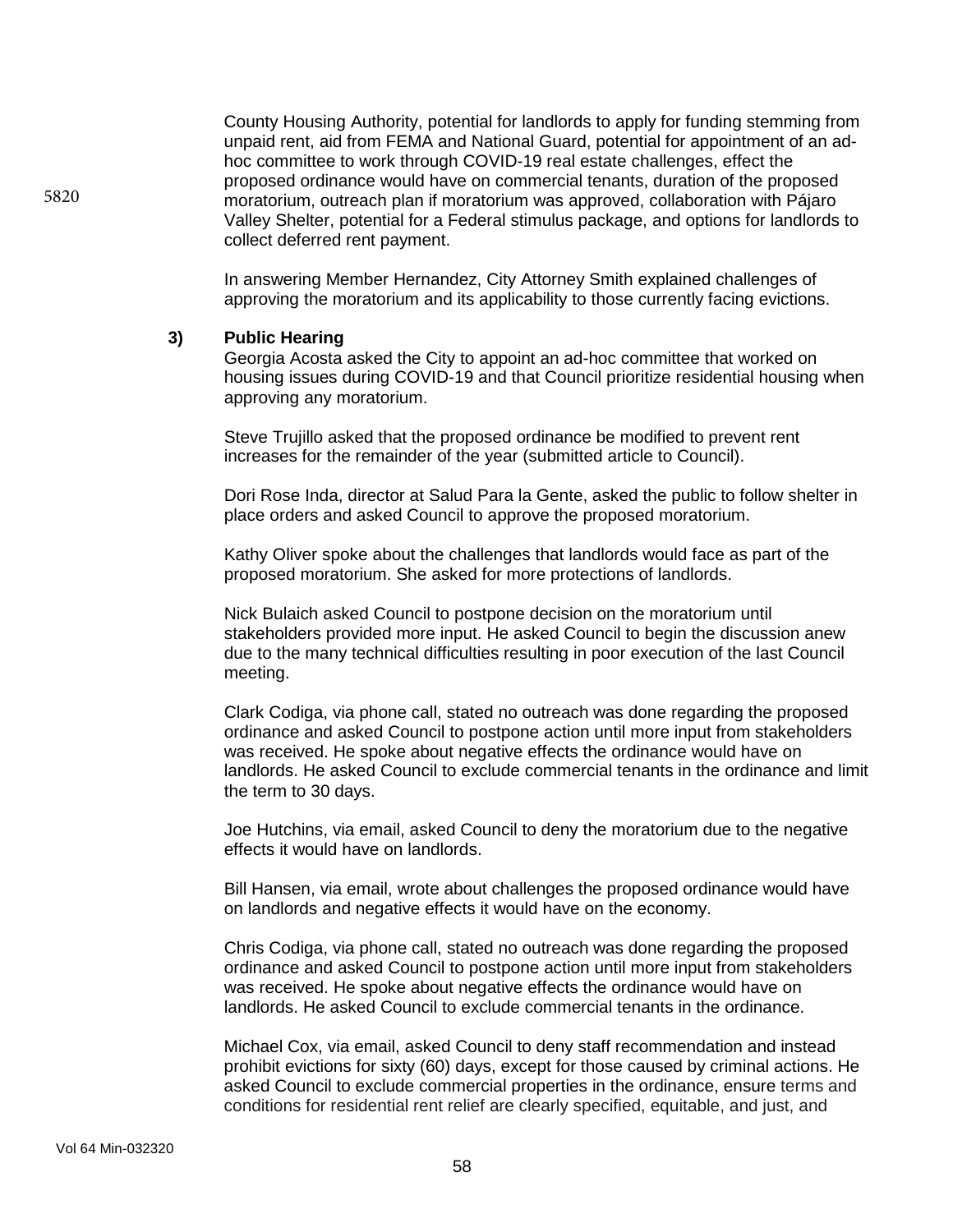County Housing Authority, potential for landlords to apply for funding stemming from unpaid rent, aid from FEMA and National Guard, potential for appointment of an adhoc committee to work through COVID-19 real estate challenges, effect the proposed ordinance would have on commercial tenants, duration of the proposed moratorium, outreach plan if moratorium was approved, collaboration with Pájaro Valley Shelter, potential for a Federal stimulus package, and options for landlords to collect deferred rent payment.

In answering Member Hernandez, City Attorney Smith explained challenges of approving the moratorium and its applicability to those currently facing evictions.

#### **3) Public Hearing**

5820

Georgia Acosta asked the City to appoint an ad-hoc committee that worked on housing issues during COVID-19 and that Council prioritize residential housing when approving any moratorium.

Steve Trujillo asked that the proposed ordinance be modified to prevent rent increases for the remainder of the year (submitted article to Council).

Dori Rose Inda, director at Salud Para la Gente, asked the public to follow shelter in place orders and asked Council to approve the proposed moratorium.

Kathy Oliver spoke about the challenges that landlords would face as part of the proposed moratorium. She asked for more protections of landlords.

Nick Bulaich asked Council to postpone decision on the moratorium until stakeholders provided more input. He asked Council to begin the discussion anew due to the many technical difficulties resulting in poor execution of the last Council meeting.

Clark Codiga, via phone call, stated no outreach was done regarding the proposed ordinance and asked Council to postpone action until more input from stakeholders was received. He spoke about negative effects the ordinance would have on landlords. He asked Council to exclude commercial tenants in the ordinance and limit the term to 30 days.

Joe Hutchins, via email, asked Council to deny the moratorium due to the negative effects it would have on landlords.

Bill Hansen, via email, wrote about challenges the proposed ordinance would have on landlords and negative effects it would have on the economy.

Chris Codiga, via phone call, stated no outreach was done regarding the proposed ordinance and asked Council to postpone action until more input from stakeholders was received. He spoke about negative effects the ordinance would have on landlords. He asked Council to exclude commercial tenants in the ordinance.

Michael Cox, via email, asked Council to deny staff recommendation and instead prohibit evictions for sixty (60) days, except for those caused by criminal actions. He asked Council to exclude commercial properties in the ordinance, ensure terms and conditions for residential rent relief are clearly specified, equitable, and just, and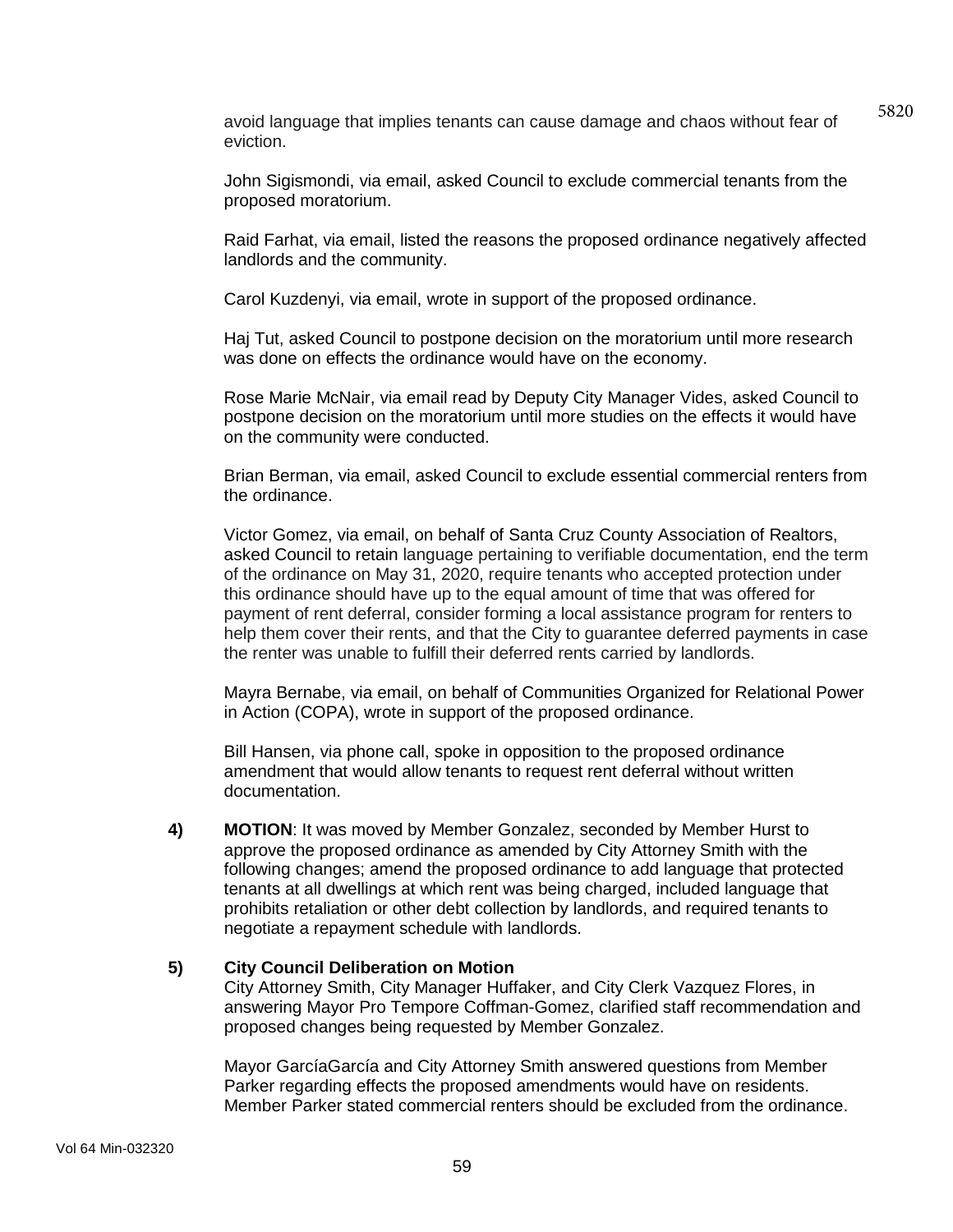avoid language that implies tenants can cause damage and chaos without fear of eviction.

5820

John Sigismondi, via email, asked Council to exclude commercial tenants from the proposed moratorium.

Raid Farhat, via email, listed the reasons the proposed ordinance negatively affected landlords and the community.

Carol Kuzdenyi, via email, wrote in support of the proposed ordinance.

Haj Tut, asked Council to postpone decision on the moratorium until more research was done on effects the ordinance would have on the economy.

Rose Marie McNair, via email read by Deputy City Manager Vides, asked Council to postpone decision on the moratorium until more studies on the effects it would have on the community were conducted.

Brian Berman, via email, asked Council to exclude essential commercial renters from the ordinance.

Victor Gomez, via email, on behalf of Santa Cruz County Association of Realtors, asked Council to retain language pertaining to verifiable documentation, end the term of the ordinance on May 31, 2020, require tenants who accepted protection under this ordinance should have up to the equal amount of time that was offered for payment of rent deferral, consider forming a local assistance program for renters to help them cover their rents, and that the City to guarantee deferred payments in case the renter was unable to fulfill their deferred rents carried by landlords.

Mayra Bernabe, via email, on behalf of Communities Organized for Relational Power in Action (COPA), wrote in support of the proposed ordinance.

Bill Hansen, via phone call, spoke in opposition to the proposed ordinance amendment that would allow tenants to request rent deferral without written documentation.

**4) MOTION**: It was moved by Member Gonzalez, seconded by Member Hurst to approve the proposed ordinance as amended by City Attorney Smith with the following changes; amend the proposed ordinance to add language that protected tenants at all dwellings at which rent was being charged, included language that prohibits retaliation or other debt collection by landlords, and required tenants to negotiate a repayment schedule with landlords.

## **5) City Council Deliberation on Motion**

City Attorney Smith, City Manager Huffaker, and City Clerk Vazquez Flores, in answering Mayor Pro Tempore Coffman-Gomez, clarified staff recommendation and proposed changes being requested by Member Gonzalez.

Mayor GarcíaGarcía and City Attorney Smith answered questions from Member Parker regarding effects the proposed amendments would have on residents. Member Parker stated commercial renters should be excluded from the ordinance.